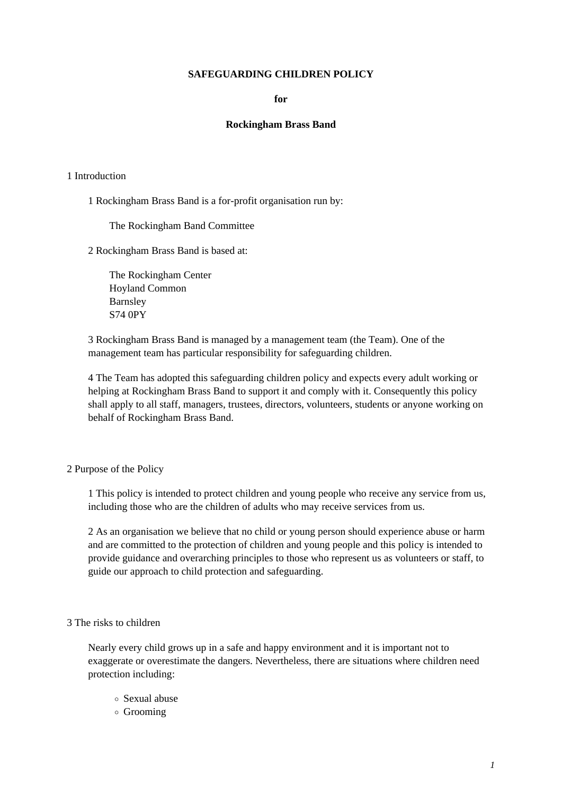# **SAFEGUARDING CHILDREN POLICY**

## **for**

### **Rockingham Brass Band**

#### 1 Introduction

1 Rockingham Brass Band is a for-profit organisation run by:

The Rockingham Band Committee

2 Rockingham Brass Band is based at:

The Rockingham Center Hoyland Common Barnsley S74 0PY

3 Rockingham Brass Band is managed by a management team (the Team). One of the management team has particular responsibility for safeguarding children.

4 The Team has adopted this safeguarding children policy and expects every adult working or helping at Rockingham Brass Band to support it and comply with it. Consequently this policy shall apply to all staff, managers, trustees, directors, volunteers, students or anyone working on behalf of Rockingham Brass Band.

#### 2 Purpose of the Policy

1 This policy is intended to protect children and young people who receive any service from us, including those who are the children of adults who may receive services from us.

2 As an organisation we believe that no child or young person should experience abuse or harm and are committed to the protection of children and young people and this policy is intended to provide guidance and overarching principles to those who represent us as volunteers or staff, to guide our approach to child protection and safeguarding.

#### 3 The risks to children

Nearly every child grows up in a safe and happy environment and it is important not to exaggerate or overestimate the dangers. Nevertheless, there are situations where children need protection including:

- Sexual abuse
- Grooming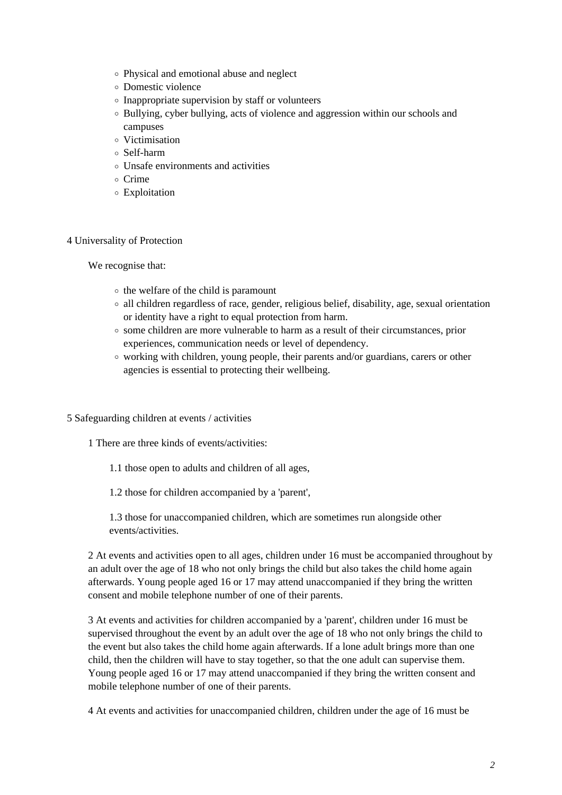- Physical and emotional abuse and neglect
- Domestic violence
- $\circ$  Inappropriate supervision by staff or volunteers
- Bullying, cyber bullying, acts of violence and aggression within our schools and campuses
- Victimisation
- Self-harm
- Unsafe environments and activities
- o Crime
- Exploitation

# 4 Universality of Protection

We recognise that:

- $\circ$  the welfare of the child is paramount
- all children regardless of race, gender, religious belief, disability, age, sexual orientation or identity have a right to equal protection from harm.
- $\circ$  some children are more vulnerable to harm as a result of their circumstances, prior experiences, communication needs or level of dependency.
- $\circ$  working with children, young people, their parents and/or guardians, carers or other agencies is essential to protecting their wellbeing.

### 5 Safeguarding children at events / activities

- 1 There are three kinds of events/activities:
	- 1.1 those open to adults and children of all ages,
	- 1.2 those for children accompanied by a 'parent',

1.3 those for unaccompanied children, which are sometimes run alongside other events/activities.

2 At events and activities open to all ages, children under 16 must be accompanied throughout by an adult over the age of 18 who not only brings the child but also takes the child home again afterwards. Young people aged 16 or 17 may attend unaccompanied if they bring the written consent and mobile telephone number of one of their parents.

3 At events and activities for children accompanied by a 'parent', children under 16 must be supervised throughout the event by an adult over the age of 18 who not only brings the child to the event but also takes the child home again afterwards. If a lone adult brings more than one child, then the children will have to stay together, so that the one adult can supervise them. Young people aged 16 or 17 may attend unaccompanied if they bring the written consent and mobile telephone number of one of their parents.

4 At events and activities for unaccompanied children, children under the age of 16 must be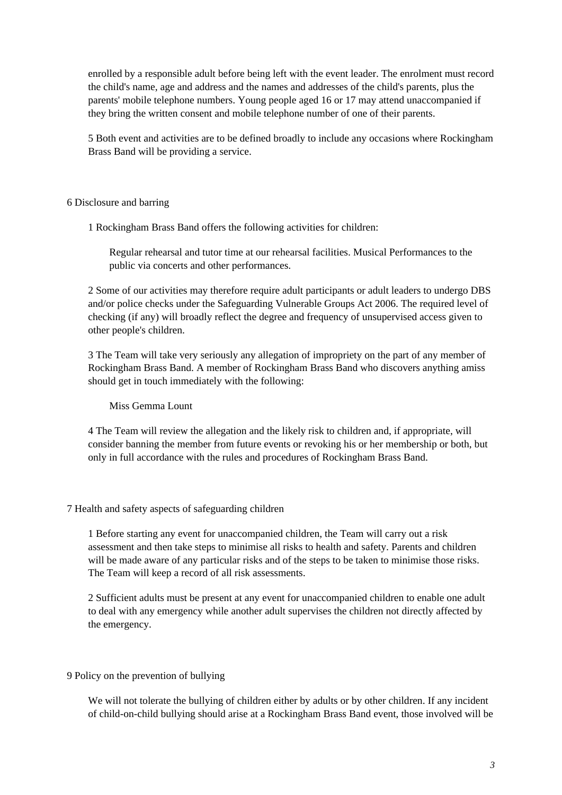enrolled by a responsible adult before being left with the event leader. The enrolment must record the child's name, age and address and the names and addresses of the child's parents, plus the parents' mobile telephone numbers. Young people aged 16 or 17 may attend unaccompanied if they bring the written consent and mobile telephone number of one of their parents.

5 Both event and activities are to be defined broadly to include any occasions where Rockingham Brass Band will be providing a service.

### 6 Disclosure and barring

1 Rockingham Brass Band offers the following activities for children:

Regular rehearsal and tutor time at our rehearsal facilities. Musical Performances to the public via concerts and other performances.

2 Some of our activities may therefore require adult participants or adult leaders to undergo DBS and/or police checks under the Safeguarding Vulnerable Groups Act 2006. The required level of checking (if any) will broadly reflect the degree and frequency of unsupervised access given to other people's children.

3 The Team will take very seriously any allegation of impropriety on the part of any member of Rockingham Brass Band. A member of Rockingham Brass Band who discovers anything amiss should get in touch immediately with the following:

### Miss Gemma Lount

4 The Team will review the allegation and the likely risk to children and, if appropriate, will consider banning the member from future events or revoking his or her membership or both, but only in full accordance with the rules and procedures of Rockingham Brass Band.

### 7 Health and safety aspects of safeguarding children

1 Before starting any event for unaccompanied children, the Team will carry out a risk assessment and then take steps to minimise all risks to health and safety. Parents and children will be made aware of any particular risks and of the steps to be taken to minimise those risks. The Team will keep a record of all risk assessments.

2 Sufficient adults must be present at any event for unaccompanied children to enable one adult to deal with any emergency while another adult supervises the children not directly affected by the emergency.

# 9 Policy on the prevention of bullying

We will not tolerate the bullying of children either by adults or by other children. If any incident of child-on-child bullying should arise at a Rockingham Brass Band event, those involved will be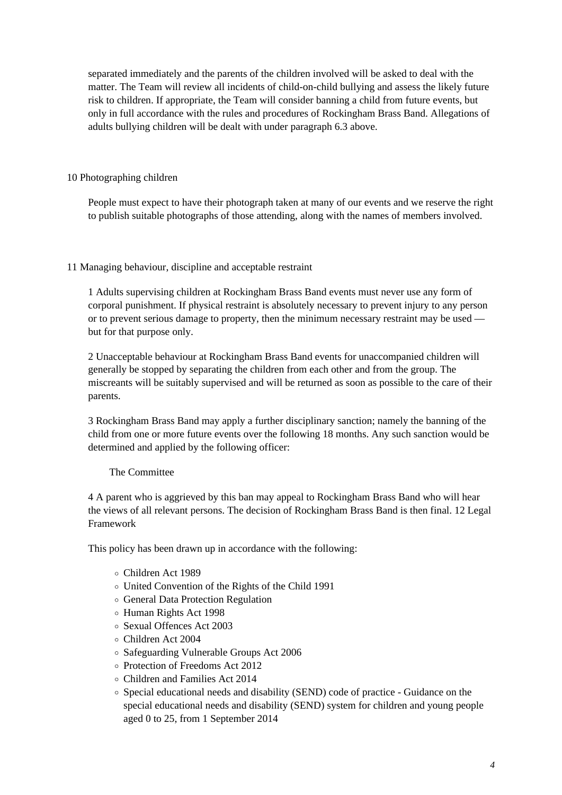separated immediately and the parents of the children involved will be asked to deal with the matter. The Team will review all incidents of child-on-child bullying and assess the likely future risk to children. If appropriate, the Team will consider banning a child from future events, but only in full accordance with the rules and procedures of Rockingham Brass Band. Allegations of adults bullying children will be dealt with under paragraph 6.3 above.

# 10 Photographing children

People must expect to have their photograph taken at many of our events and we reserve the right to publish suitable photographs of those attending, along with the names of members involved.

# 11 Managing behaviour, discipline and acceptable restraint

1 Adults supervising children at Rockingham Brass Band events must never use any form of corporal punishment. If physical restraint is absolutely necessary to prevent injury to any person or to prevent serious damage to property, then the minimum necessary restraint may be used but for that purpose only.

2 Unacceptable behaviour at Rockingham Brass Band events for unaccompanied children will generally be stopped by separating the children from each other and from the group. The miscreants will be suitably supervised and will be returned as soon as possible to the care of their parents.

3 Rockingham Brass Band may apply a further disciplinary sanction; namely the banning of the child from one or more future events over the following 18 months. Any such sanction would be determined and applied by the following officer:

# The Committee

4 A parent who is aggrieved by this ban may appeal to Rockingham Brass Band who will hear the views of all relevant persons. The decision of Rockingham Brass Band is then final. 12 Legal Framework

This policy has been drawn up in accordance with the following:

- Children Act 1989
- United Convention of the Rights of the Child 1991
- General Data Protection Regulation
- Human Rights Act 1998
- Sexual Offences Act 2003
- Children Act 2004
- Safeguarding Vulnerable Groups Act 2006
- Protection of Freedoms Act 2012
- Children and Families Act 2014
- Special educational needs and disability (SEND) code of practice Guidance on the special educational needs and disability (SEND) system for children and young people aged 0 to 25, from 1 September 2014